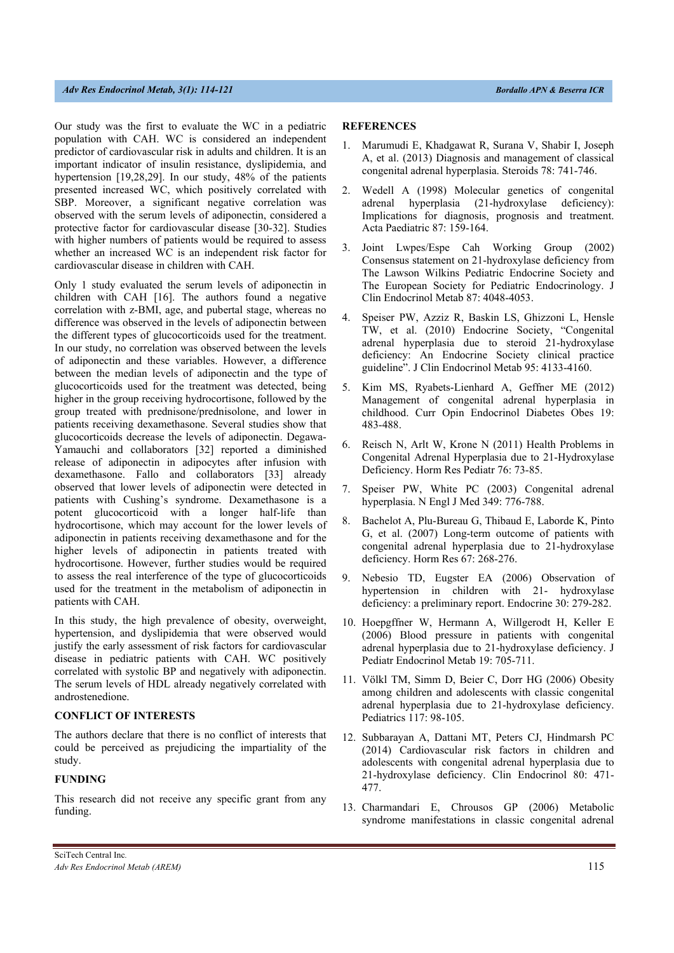Our study was the first to evaluate the WC in a pediatric population with CAH. WC is considered an independent predictor of cardiovascular risk in adults and children. It is an important indicator of insulin resistance, dyslipidemia, and hypertension [19,28,29]. In our study, 48% of the patients presented increased WC, which positively correlated with SBP. Moreover, a significant negative correlation was observed with the serum levels of adiponectin, considered a protective factor for cardiovascular disease [30-32]. Studies with higher numbers of patients would be required to assess whether an increased WC is an independent risk factor for cardiovascular disease in children with CAH.

Only 1 study evaluated the serum levels of adiponectin in children with CAH [16]. The authors found a negative correlation with z-BMI, age, and pubertal stage, whereas no difference was observed in the levels of adiponectin between the different types of glucocorticoids used for the treatment. In our study, no correlation was observed between the levels of adiponectin and these variables. However, a difference between the median levels of adiponectin and the type of glucocorticoids used for the treatment was detected, being higher in the group receiving hydrocortisone, followed by the group treated with prednisone/prednisolone, and lower in patients receiving dexamethasone. Several studies show that glucocorticoids decrease the levels of adiponectin. Degawa-Yamauchi and collaborators [32] reported a diminished release of adiponectin in adipocytes after infusion with dexamethasone. Fallo and collaborators [33] already observed that lower levels of adiponectin were detected in patients with Cushing's syndrome. Dexamethasone is a potent glucocorticoid with a longer half-life than hydrocortisone, which may account for the lower levels of adiponectin in patients receiving dexamethasone and for the higher levels of adiponectin in patients treated with hydrocortisone. However, further studies would be required to assess the real interference of the type of glucocorticoids used for the treatment in the metabolism of adiponectin in patients with CAH.

In this study, the high prevalence of obesity, overweight, hypertension, and dyslipidemia that were observed would justify the early assessment of risk factors for cardiovascular disease in pediatric patients with CAH. WC positively correlated with systolic BP and negatively with adiponectin. The serum levels of HDL already negatively correlated with androstenedione.

## **CONFLICT OF INTERESTS**

The authors declare that there is no conflict of interests that could be perceived as prejudicing the impartiality of the study.

## **FUNDING**

This research did not receive any specific grant from any funding.

## **REFERENCES**

- 1. Marumudi E, Khadgawat R, Surana V, Shabir I, Joseph A, et al. (2013) Diagnosis and management of classical congenital adrenal hyperplasia. Steroids 78: 741-746.
- 2. Wedell A (1998) Molecular genetics of congenital adrenal hyperplasia (21-hydroxylase deficiency): Implications for diagnosis, prognosis and treatment. Acta Paediatric 87: 159-164.
- 3. Joint Lwpes/Espe Cah Working Group (2002) Consensus statement on 21-hydroxylase deficiency from The Lawson Wilkins Pediatric Endocrine Society and The European Society for Pediatric Endocrinology. J Clin Endocrinol Metab 87: 4048-4053.
- 4. Speiser PW, Azziz R, Baskin LS, Ghizzoni L, Hensle TW, et al. (2010) Endocrine Society, "Congenital adrenal hyperplasia due to steroid 21-hydroxylase deficiency: An Endocrine Society clinical practice guideline". J Clin Endocrinol Metab 95: 4133-4160.
- 5. Kim MS, Ryabets-Lienhard A, Geffner ME (2012) Management of congenital adrenal hyperplasia in childhood. Curr Opin Endocrinol Diabetes Obes 19: 483-488.
- 6. Reisch N, Arlt W, Krone N (2011) Health Problems in Congenital Adrenal Hyperplasia due to 21-Hydroxylase Deficiency. Horm Res Pediatr 76: 73-85.
- 7. Speiser PW, White PC (2003) Congenital adrenal hyperplasia. N Engl J Med 349: 776-788.
- 8. Bachelot A, Plu-Bureau G, Thibaud E, Laborde K, Pinto G, et al. (2007) Long-term outcome of patients with congenital adrenal hyperplasia due to 21-hydroxylase deficiency. Horm Res 67: 268-276.
- 9. Nebesio TD, Eugster EA (2006) Observation of hypertension in children with 21- hydroxylase deficiency: a preliminary report. Endocrine 30: 279-282.
- 10. Hoepgffner W, Hermann A, Willgerodt H, Keller E (2006) Blood pressure in patients with congenital adrenal hyperplasia due to 21-hydroxylase deficiency. J Pediatr Endocrinol Metab 19: 705-711.
- 11. Völkl TM, Simm D, Beier C, Dorr HG (2006) Obesity among children and adolescents with classic congenital adrenal hyperplasia due to 21-hydroxylase deficiency. Pediatrics 117: 98-105.
- 12. Subbarayan A, Dattani MT, Peters CJ, Hindmarsh PC (2014) Cardiovascular risk factors in children and adolescents with congenital adrenal hyperplasia due to 21-hydroxylase deficiency. Clin Endocrinol 80: 471- 477.
- 13. Charmandari E, Chrousos GP (2006) Metabolic syndrome manifestations in classic congenital adrenal